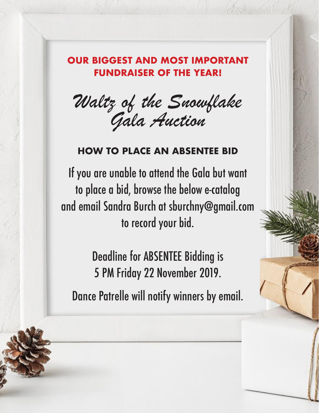### **OUR BIGGEST AND MOST IMPORTANT FUNDRAISER OF THE YEAR!**

Waltz of the Snowflake Gala Auction

### **HOW TO PLACE AN ABSENTEE BID**

If you are unable to attend the Gala but want to place a bid, browse the below e-catalog and email Sandra Burch at sburchny@gmail.com to record your bid.

> Deadline for ABSENTEE Bidding is 5 PM Friday 22 November 2019.

Dance Patrelle will notify winners by email.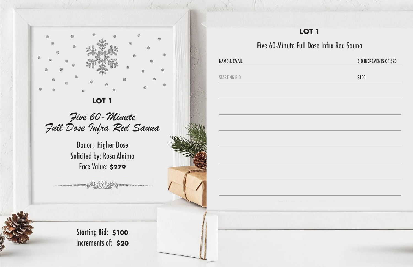

Five 60-Minute Full Dose Infra Red Sauna

> Donor: Higher Dose Solicited by: Rosa Alaimo Face Value: **\$279**

Five 60-Minute Ful

**NAME & EMAIL** 

John Ni

STARTING BID

Starting Bid: **\$100**  Increments of: **\$20**

| LOT <sub>1</sub>         |                               |
|--------------------------|-------------------------------|
| ull Dose Infra Red Sauna |                               |
|                          | <b>BID INCREMENTS OF \$20</b> |
|                          |                               |
|                          | \$100                         |
|                          |                               |
|                          |                               |
|                          |                               |
|                          |                               |
|                          |                               |
|                          |                               |
|                          |                               |
|                          |                               |
|                          |                               |
|                          |                               |
|                          |                               |
|                          |                               |
|                          |                               |
|                          |                               |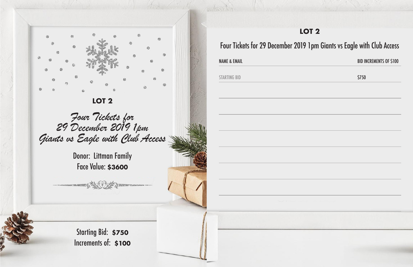

Four Tickets for 29 December 2019 1pm Giants vs Eagle with Club Access

Donor: Littman Family Face Value: **\$3600**

John

STARTING BID **\$750** 

Starting Bid: **\$750**  Increments of: **\$100**

### **LOT 2**

### Four Tickets for 29 December 2019 1pm Giants vs Eagle with Club Access

### NAME & EMAIL **BID INCREMENTS OF \$100**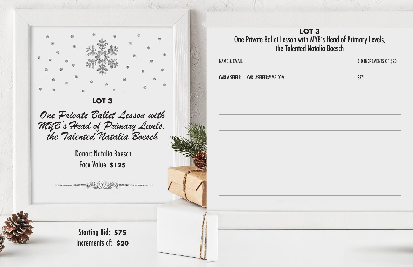

One Private Ballet Lesson with MYB's Head of Primary Levels, the Talented Natalia Boesch

> Donor: Natalia Boesch Face Value: **\$125**

Starting Bid: **\$75**  Increments of: **\$20** NAME & EMAIL **BID INCREMENTS OF \$20** 

CARLA SEIFER CARLASEIFER@ME.COM \$75

### **LOT 3** One Private Ballet Lesson with MYB's Head of Primary Levels, the Talented Natalia Boesch

John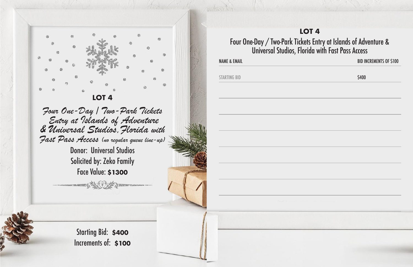

Four One-Day / Two-Park Tickets Entry at Islands of Adventure & Universal Studios,Florida with Fast Pass Access (no regular queue line-up)

> Donor: Universal Studios Solicited by: Zeko Family Face Value: **\$1300**

messant Alexander Davis

todo

Starting Bid: **\$400**  Increments of: **\$100**



### **LOT 4**

### Four One-Day / Two-Park Tickets Entry at Islands of Adventure & Universal Studios, Florida with Fast Pass Access

NAME & EMAIL **BID INCREMENTS OF \$100**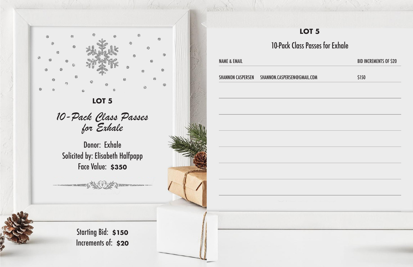

10-Pack Class Passes for Exhale

Donor: Exhale Solicited by: Elisabeth Halfpapp Face Value: **\$350**

> Starting Bid: **\$150**  Increments of: **\$20**

| 10-Pack Class Passes for Exhale                                                          |             |
|------------------------------------------------------------------------------------------|-------------|
|                                                                                          | <b>BIDI</b> |
| SHANNON CASPERSEN SHANNON.CASPERSEN@GMAIL.COM                                            | \$150       |
|                                                                                          |             |
|                                                                                          |             |
|                                                                                          |             |
|                                                                                          |             |
|                                                                                          |             |
|                                                                                          |             |
|                                                                                          |             |
| <b>Northern Property and Committee Committee Committee Committee Committee Committee</b> |             |
|                                                                                          |             |
|                                                                                          |             |
|                                                                                          |             |

John Mille

| 10-Pack Class Passes for Exhale<br><b>NAME &amp; EMAIL</b><br>SHANNON CASPERSEN SHANNON.CASPERSEN@GMAIL.COM<br>\$150<br><b>Constitution of the Constitution Constitution of the Constitution Constitution of the Constitution</b> | LOT <sub>5</sub> |                               |
|-----------------------------------------------------------------------------------------------------------------------------------------------------------------------------------------------------------------------------------|------------------|-------------------------------|
|                                                                                                                                                                                                                                   |                  |                               |
|                                                                                                                                                                                                                                   |                  | <b>BID INCREMENTS OF \$20</b> |
|                                                                                                                                                                                                                                   |                  |                               |
|                                                                                                                                                                                                                                   |                  |                               |
|                                                                                                                                                                                                                                   |                  |                               |
|                                                                                                                                                                                                                                   |                  |                               |
|                                                                                                                                                                                                                                   |                  |                               |
|                                                                                                                                                                                                                                   |                  |                               |
|                                                                                                                                                                                                                                   |                  |                               |
|                                                                                                                                                                                                                                   |                  |                               |
|                                                                                                                                                                                                                                   |                  |                               |
|                                                                                                                                                                                                                                   |                  |                               |
|                                                                                                                                                                                                                                   |                  |                               |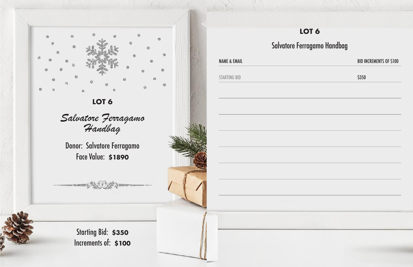

Salvatore Ferragamo Handbag

Donor: Salvatore Ferragamo Face Value: **\$1890**

**NAME & EMAIL** STARTING BID Salvatore Fer

John Ni

Starting Bid: **\$350**  Increments of: **\$100**

| LOT <sub>6</sub> |                                |
|------------------|--------------------------------|
| erragamo Handbag |                                |
|                  | <b>BID INCREMENTS OF \$100</b> |
|                  | \$350                          |
|                  |                                |
|                  |                                |
|                  |                                |
|                  |                                |
|                  |                                |
|                  |                                |
|                  |                                |
|                  |                                |
|                  |                                |
|                  |                                |
|                  |                                |
|                  |                                |
|                  |                                |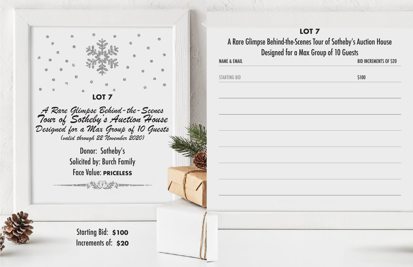

A Rare Glimpse Behind-the-Scenes Tour of Sotheby's Auction House Designed for a Max Group of 10 Guests (valid through 22 November 2020)

> Donor: Sotheby's Solicited by: Burch Family Face Value: **PRICELESS**

ment All the Arm

La distribution

Starting Bid: **\$100**  Increments of: **\$20**



### **LOT 7** A Rare Glimpse Behind-the-Scenes Tour of Sotheby's Auction House Designed for a Max Group of 10 Guests

NAME & EMAIL **BID INCREMENTS OF \$20**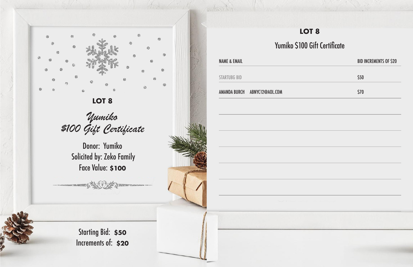

Yumiko \$100 Gift Certificate

Donor: Yumiko Solicited by: Zeko Family Face Value: **\$100**

Starting Bid: **\$50**  Increments of: **\$20**

### BID INCREMENTS OF \$20 \$50 \$70 **LOT 8** Gift Certificate

|                         | LC                                       |
|-------------------------|------------------------------------------|
|                         | Yumiko \$100                             |
| <b>NAME &amp; EMAIL</b> |                                          |
| <b>STARTUBG BID</b>     |                                          |
|                         | AMANDA BURCH ABNYC12@AOL.COM             |
|                         |                                          |
|                         |                                          |
|                         |                                          |
|                         |                                          |
|                         |                                          |
|                         |                                          |
|                         |                                          |
|                         | <b>Contract of the Contract Contract</b> |

John Riv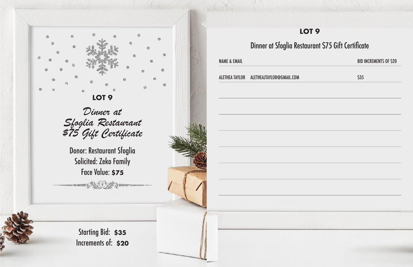

Dinner at Sfoglia Restaurant \$75 Gift Certificate

Donor: Restaurant Sfoglia Solicited: Zeko Family Face Value: **\$75**

STANDARD TO THE DISTRICT OF THE TABLE

John

ALETHEA TAYLOR ALETHEAJTAYLOR@GMAIL.COM \$35

Starting Bid: **\$35**  Increments of: **\$20**

### NAME & EMAIL **BID INCREMENTS OF \$20 LOT 9** Dinner at Sfoglia Restaurant \$75 Gift Certificate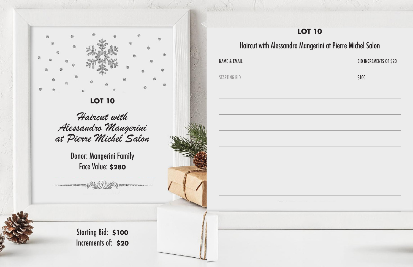

Haircut with Alessandro Mangerini at Pierre Michel Salon

> Donor: Mangerini Family Face Value: **\$280**

Starting Bid: **\$100**  Increments of: **\$20**



### **LOT 10**

### NAME & EMAIL **BID INCREMENTS OF \$20**

### Haircut with Alessandro Mangerini at Pierre Michel Salon

John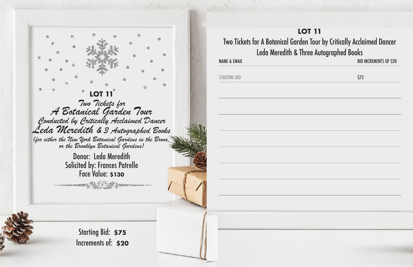

### **LOT 11** Two Tickets for A Botanical Garden Tour by Critically Acclaimed Dancer Leda Meredith & Three Autographed Books

La Barbar

**STARTING BID** 

NAME & EMAIL **BID INCREMENTS OF \$20** 

| \$75 |  |
|------|--|
|      |  |
|      |  |
|      |  |
|      |  |
|      |  |
|      |  |
|      |  |
|      |  |
|      |  |
|      |  |
|      |  |
|      |  |
|      |  |
|      |  |
|      |  |
|      |  |
|      |  |
|      |  |
|      |  |
|      |  |
|      |  |
|      |  |
|      |  |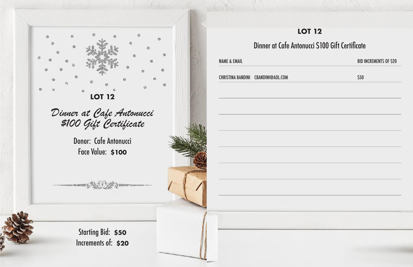

### Dinner at Cafe Anton

**NAME & EMAIL** 

John Ni

Starting Bid: **\$50**  Increments of: **\$20**

| tonucci \$100 Gift Certificate |                               |
|--------------------------------|-------------------------------|
|                                | <b>BID INCREMENTS OF \$20</b> |
|                                | \$50                          |
|                                |                               |
|                                |                               |
|                                |                               |
|                                |                               |
|                                |                               |
|                                |                               |
|                                |                               |
|                                |                               |
|                                |                               |
|                                |                               |
|                                |                               |
|                                |                               |

CHRISTINA BANDINI CBANDINI@AOL.COM \$50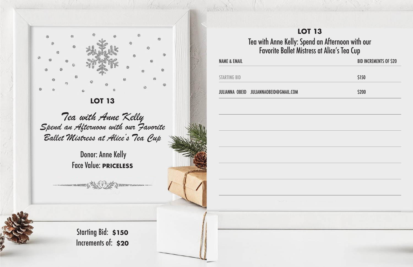

Tea with Anne Kelly Spend an Afternoon with our Favorite Ballet Mistress at Alice's Tea Cup

 Donor: Anne Kelly Face Value: **PRICELESS**

### **LOT 13** Tea with Anne Kelly: Spend an Afternoon with our Favorite Ballet Mistress at Alice's Tea Cup

John

Starting Bid: **\$150**  Increments of: **\$20** NAME & EMAIL **BID INCREMENTS OF \$20** 

STARTING BID

JULIANNA OBEID JULIANNAOBEID@GMAIL.COM

| \$150                    |  |
|--------------------------|--|
| \$200                    |  |
|                          |  |
|                          |  |
|                          |  |
|                          |  |
|                          |  |
|                          |  |
|                          |  |
|                          |  |
|                          |  |
|                          |  |
|                          |  |
|                          |  |
|                          |  |
| <b>Alberta Strategic</b> |  |
|                          |  |
|                          |  |
|                          |  |
|                          |  |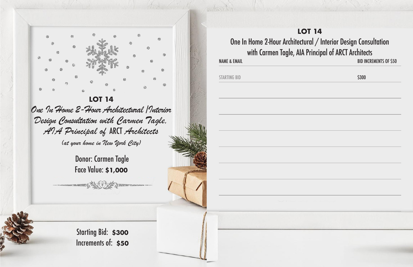

**LOT 14** One In Home 2-Hour Architectural /Interior Design Consultation with Carmen Tagle, AIA Principal of ARCT Architects (at your home in New York City)

> Donor: Carmen Tagle Face Value: **\$1,000**

NAME & EMAIL **BID INCREMENTS OF \$50** 

Jacken

**STARTING BID** 

Starting Bid: **\$300**  Increments of: **\$50**

### **LOT 14** One In Home 2-Hour Architectural / Interior Design Consultation with Carmen Tagle, AIA Principal of ARCT Architects

|     | \$300          |  |
|-----|----------------|--|
|     |                |  |
|     |                |  |
|     |                |  |
|     |                |  |
|     |                |  |
|     |                |  |
|     |                |  |
|     |                |  |
|     |                |  |
|     |                |  |
|     |                |  |
|     |                |  |
|     |                |  |
|     |                |  |
|     |                |  |
|     | <b>Proprie</b> |  |
| 经政治 |                |  |
|     |                |  |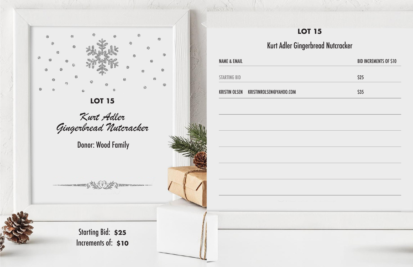

Kurt Adler Gingerbread Nutcracker

Donor: Wood Family

Starting Bid: **\$25**  Increments of: **\$10**

|                         | <b>LOT 15</b>                                                                         |            |
|-------------------------|---------------------------------------------------------------------------------------|------------|
|                         | Kurt Adler Gingerbread Nutcracker                                                     |            |
| <b>NAME &amp; EMAIL</b> |                                                                                       | <b>BID</b> |
| <b>STARTING BID</b>     |                                                                                       | \$25       |
|                         | KRISTIN OLSEN KRISTINROLSEN@YAHOO.COM                                                 | \$35       |
|                         |                                                                                       |            |
|                         |                                                                                       |            |
|                         |                                                                                       |            |
|                         |                                                                                       |            |
|                         |                                                                                       |            |
|                         |                                                                                       |            |
|                         | <b>Northern Committee Committee Committee Committee Committee Committee Committee</b> |            |
|                         |                                                                                       |            |
|                         |                                                                                       |            |
|                         |                                                                                       |            |

And di

| <b>NAME &amp; EMAIL</b> |                                       | <b>BID INCREMENTS OF \$10</b> |
|-------------------------|---------------------------------------|-------------------------------|
| <b>STARTING BID</b>     |                                       | \$25                          |
|                         | KRISTIN OLSEN KRISTINROLSEN@YAHOO.COM | <b>\$35</b>                   |
|                         |                                       |                               |
|                         |                                       |                               |
|                         |                                       |                               |
|                         |                                       |                               |
|                         |                                       |                               |
|                         |                                       |                               |
|                         |                                       |                               |
|                         |                                       |                               |
|                         |                                       |                               |
|                         |                                       |                               |
|                         |                                       |                               |
|                         |                                       |                               |

### **LOT 15**

### **bread Nutcracker**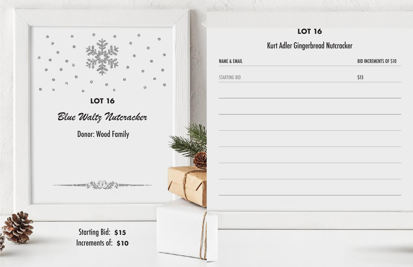

|                         | <b>LOT 16</b>                                                                                                        |      |
|-------------------------|----------------------------------------------------------------------------------------------------------------------|------|
|                         | Kurt Adler Gingerbread Nutcracker                                                                                    |      |
| <b>NAME &amp; EMAIL</b> |                                                                                                                      | BID  |
| <b>STARTING BID</b>     |                                                                                                                      | \$15 |
|                         |                                                                                                                      |      |
|                         |                                                                                                                      |      |
|                         |                                                                                                                      |      |
|                         |                                                                                                                      |      |
|                         |                                                                                                                      |      |
|                         | New York Charles and Charles and Charles and Charles and Charles and Charles and Charles and Charles and Charles and |      |
|                         |                                                                                                                      |      |
|                         |                                                                                                                      |      |

And in

### **r** 16

### rbread Nutcracker

### BID INCREMENTS OF \$10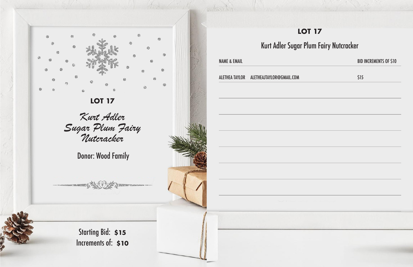

Kurt Adler Sugar Plum Fairy Nutcracker

Donor: Wood Family

Starting Bid: **\$15**  Increments of: **\$10**

**NAME & EMAIL** Kurt Adler Sugar ALETHEA TAYLOR ALETHEAJTAYLOR@GMAIL.COM

John

| \$15 |
|------|
|      |
|      |
|      |
|      |
|      |
|      |
|      |
|      |
|      |
|      |
|      |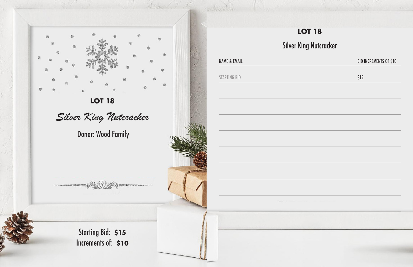

|                         | <b>LOT 18</b>                 |            |
|-------------------------|-------------------------------|------------|
|                         | <b>Silver King Nutcracker</b> |            |
| <b>NAME &amp; EMAIL</b> |                               | <b>BID</b> |
| <b>STARTING BID</b>     |                               | \$15       |
|                         |                               |            |
|                         |                               |            |
|                         |                               |            |
|                         |                               |            |
|                         |                               |            |
|                         |                               |            |
|                         |                               |            |
|                         |                               |            |
|                         |                               |            |
|                         |                               |            |
|                         |                               |            |

Colorado

# BID INCREMENTS OF \$10 **LOT 18** Rutcracker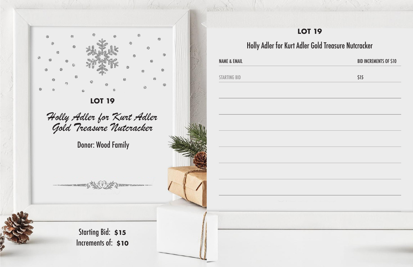

Holly Adler for Kurt Adler Gold Treasure Nutcracker

Donor: Wood Family

**NAME & EMAIL** 

John Riv

**STARTING BID** 

Starting Bid: **\$15**  Increments of: **\$10**

### **LOT 19**

### Holly Adler for Kurt Adler Gold Treasure Nutcracker

| <b>BID INCREMENTS OF \$10</b> |
|-------------------------------|
| \$15                          |
|                               |
|                               |
|                               |
|                               |
|                               |
|                               |
|                               |
|                               |
|                               |
|                               |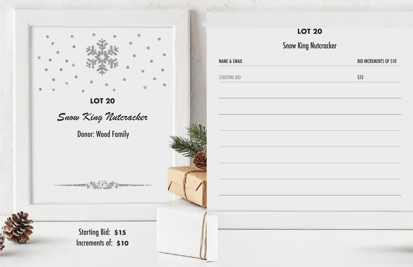

|                         | <b>LOT 20</b>                         |            |
|-------------------------|---------------------------------------|------------|
|                         | <b>Snow King Nutcracker</b>           |            |
| <b>NAME &amp; EMAIL</b> |                                       | <b>BID</b> |
| <b>STARTING BID</b>     |                                       | \$15       |
|                         |                                       |            |
|                         |                                       |            |
|                         |                                       |            |
|                         |                                       |            |
|                         |                                       |            |
|                         |                                       |            |
|                         |                                       |            |
|                         |                                       |            |
|                         | <b>NOON COMPANY IS NOT THE OWNER.</b> |            |
|                         |                                       |            |
|                         |                                       |            |
|                         |                                       |            |

John

# BID INCREMENTS OF \$10 **LOT 20** Nutcracker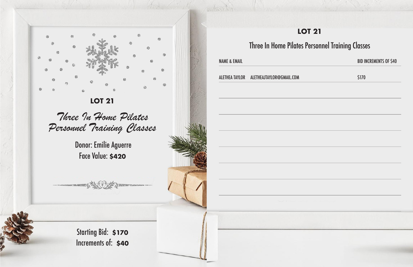

Three In Home Pilates Personnel Training Classes

### **LOT 21** Three In Home Pilates Personnel Training Classes BID INCREMENTS OF \$40

 Donor: Emilie Aguerre Face Value: **\$420**

Starting Bid: **\$170**  Increments of: **\$40**



John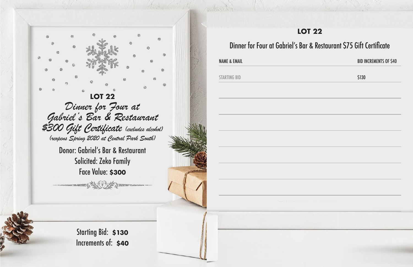**LOT 22** Dinner for Four at<br>Gabriel's Bar & Restaurant \$300 Gift Certificate (excludes alcohol) (reopens Spring 2020 at Central Park South)

> Donor: Gabriel's Bar & Restaurant Solicited: Zeko Family Face Value: **\$300**

> > **DESCRIPTIONS**

Starting Bid: **\$130**  Increments of: **\$40** NAME & EMAIL

Jacken

STARTING BID

### **LOT 22**

### Dinner for Four at Gabriel's Bar & Restaurant \$75 Gift Certificate

### BID INCREMENTS OF \$40

\$130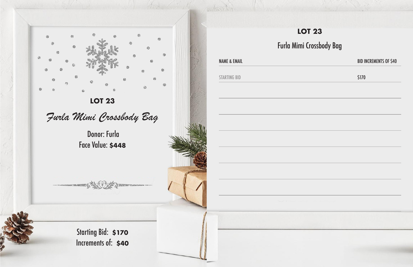

Furla Mimi Crossbody Bag

 Donor: Furla Face Value: **\$448**

|                         | $\bullet$<br>L    |  |
|-------------------------|-------------------|--|
|                         | <b>Furla Mimi</b> |  |
| <b>NAME &amp; EMAIL</b> |                   |  |
| <b>STARTING BID</b>     |                   |  |
|                         |                   |  |
|                         |                   |  |
|                         |                   |  |

John

Starting Bid: **\$170**  Increments of: **\$40**

| <b>LOT 23</b>                              |                               |  |
|--------------------------------------------|-------------------------------|--|
| Furla Mimi Crossbody Bag                   |                               |  |
|                                            | <b>BID INCREMENTS OF \$40</b> |  |
|                                            | \$170                         |  |
|                                            |                               |  |
|                                            |                               |  |
|                                            |                               |  |
|                                            |                               |  |
|                                            |                               |  |
|                                            |                               |  |
|                                            |                               |  |
|                                            |                               |  |
| <b>Contract Contract Contract Contract</b> |                               |  |
|                                            |                               |  |
|                                            |                               |  |
|                                            |                               |  |
|                                            |                               |  |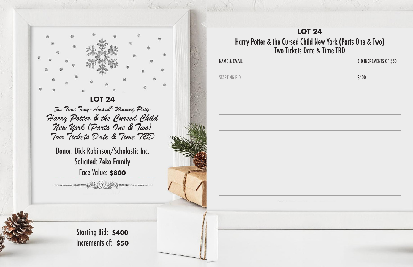

Six Time Tony-Award® Winning Play: Harry Potter & the Cursed Child New York (Parts One & Two) Two Tickets Date & Time TBD

Donor: Dick Robinson/Scholastic Inc. Solicited: Zeko Family Face Value: **\$800**

**SHOP SHOP THAT THE DESIGNATION** 

Starting Bid: **\$400**  Increments of: **\$50** BID INCREMENTS OF \$50

NAME & EMAIL

La Barbar

STARTING BID

### **LOT 24** Harry Potter & the Cursed Child New York (Parts One & Two) Two Tickets Date & Time TBD

\$400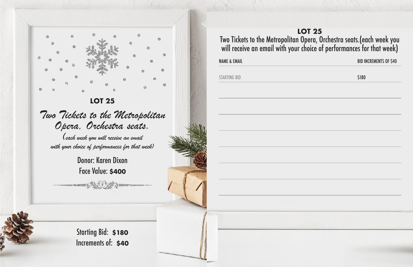

Two Tickets to the Metropolitan Opera, Orchestra seats. (each week you will receive an email

with your choice of performances for that week)

Donor: Karen Dixon Face Value: **\$400**

Starting Bid: **\$180**  Increments of: **\$40** NAME & EMAIL

La Barbar

STARTING BID

### **LOT 25** Two Tickets to the Metropolitan Opera, Orchestra seats.(each week you will receive an email with your choice of performances for that week)

BID INCREMENTS OF \$40

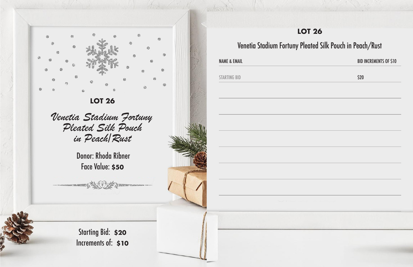

Venetia Stadium Fortuny Pleated Silk Pouch in Peach/Rust

> Donor: Rhoda Ribner Face Value: **\$50**

Starting Bid: **\$20**  Increments of: **\$10** NAME & EMAIL

John

STARTING BID

### **LOT 26**

### BID INCREMENTS OF \$10

### Venetia Stadium Fortuny Pleated Silk Pouch in Peach/Rust

| \$20 |  |
|------|--|
|      |  |
|      |  |
|      |  |
|      |  |
|      |  |
|      |  |
|      |  |
|      |  |
|      |  |
|      |  |
|      |  |
|      |  |
|      |  |
|      |  |
|      |  |
|      |  |
|      |  |
|      |  |
|      |  |
|      |  |
|      |  |
|      |  |
|      |  |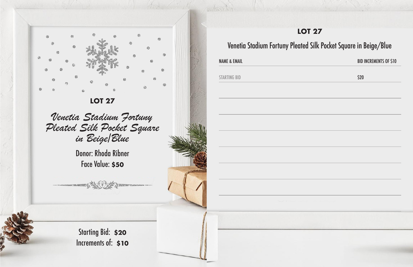

Venetia Stadium Fortuny Pleated Silk Pocket Square in Beige/Blue

> Donor: Rhoda Ribner Face Value: **\$50**

Starting Bid: **\$20**  Increments of: **\$10** NAME & EMAIL

John

STARTING BID

### **LOT 27**

### Venetia Stadium Fortuny Pleated Silk Pocket Square in Beige/Blue

### BID INCREMENTS OF \$10

| \$20  |  |
|-------|--|
|       |  |
|       |  |
|       |  |
|       |  |
|       |  |
|       |  |
|       |  |
|       |  |
|       |  |
|       |  |
|       |  |
|       |  |
|       |  |
|       |  |
|       |  |
|       |  |
|       |  |
|       |  |
|       |  |
| a shi |  |
|       |  |
|       |  |
|       |  |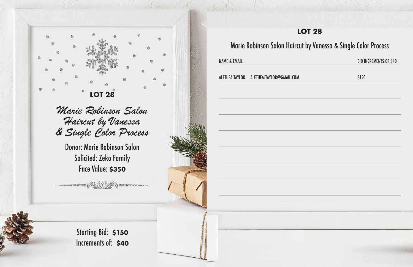

Marie Robinson Salon Haircut by Vanessa & Single Color Process

Donor: Marie Robinson Salon Solicited: Zeko Family Face Value: **\$350**

Marie Robinson Salon Haircut

Starting Bid: **\$150**  Increments of: **\$40** NAME & EMAIL

John

ALETHEA TAYLOR ALETHEAJTAYLOR@GMAIL.COM

| <b>BID INCREMENTS OF \$40</b> |  |
|-------------------------------|--|
| \$150                         |  |
|                               |  |
|                               |  |
|                               |  |
|                               |  |
|                               |  |
|                               |  |
|                               |  |
|                               |  |
|                               |  |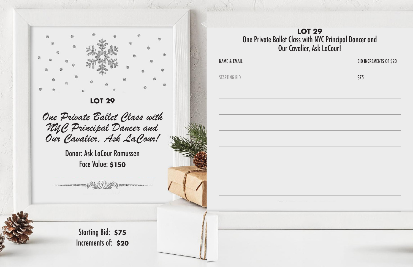

One Private Ballet Class with NYC Principal Dancer and Our Cavalier, Ask LaCour!

Donor: Ask LaCour Ramussen Face Value: **\$150**

John

Starting Bid: **\$75**  Increments of: **\$20** NAME & EMAIL STARTING BID

### **LOT 29** One Private Ballet Class with NYC Principal Dancer and Our Cavalier, Ask LaCour!

### BID INCREMENTS OF \$20

\$75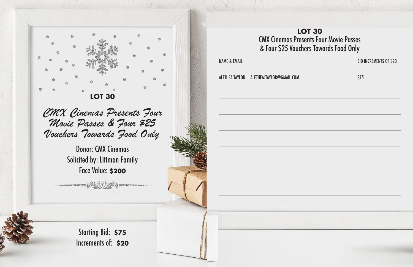

CMX Cinemas Presents Four Movie Passes & Four \$25 Vouchers Towards Food Only

> Donor: CMX Cinemas Solicited by: Littman Family Face Value: **\$200**

ALETHEA TAYLOR ALETHEAJTAYLOR@GMAIL.COM

Starting Bid: **\$75**  Increments of: **\$20** NAME & EMAIL

John Br

### **LOT 30** CMX Cinemas Presents Four Movie Passes & Four \$25 Vouchers Towards Food Only

### BID INCREMENTS OF \$20

| \$75                    |  |
|-------------------------|--|
|                         |  |
|                         |  |
|                         |  |
|                         |  |
|                         |  |
|                         |  |
|                         |  |
|                         |  |
|                         |  |
|                         |  |
|                         |  |
|                         |  |
|                         |  |
|                         |  |
|                         |  |
|                         |  |
|                         |  |
|                         |  |
|                         |  |
|                         |  |
| a a shekara<br>$\sim$ 0 |  |
|                         |  |
|                         |  |
|                         |  |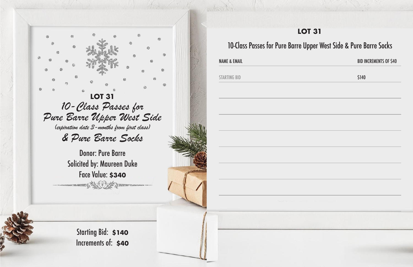

NAME & EMAIL

John

STARTING BID

### **LOT 31**

### BID INCREMENTS OF \$40

### 10-Class Passes for Pure Barre Upper West Side & Pure Barre Socks

\$140